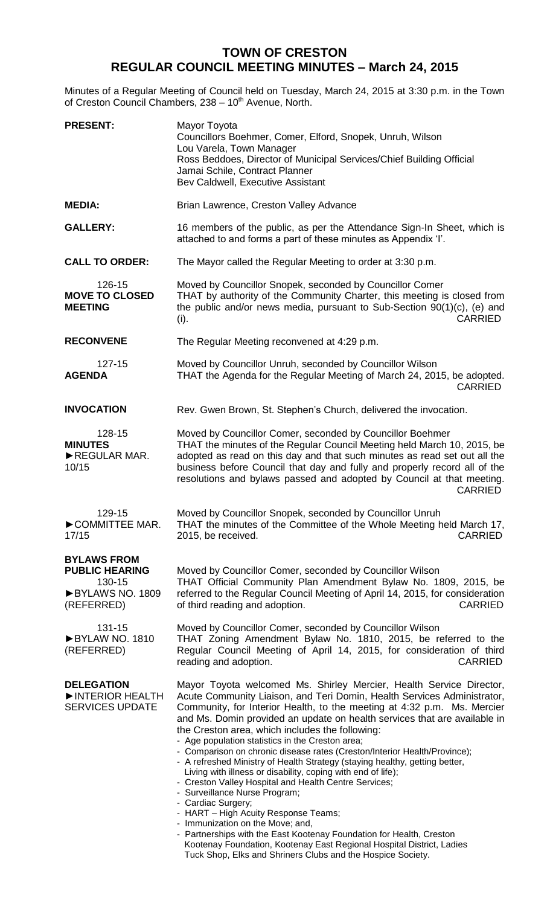## **TOWN OF CRESTON REGULAR COUNCIL MEETING MINUTES – March 24, 2015**

Minutes of a Regular Meeting of Council held on Tuesday, March 24, 2015 at 3:30 p.m. in the Town of Creston Council Chambers, 238 - 10<sup>th</sup> Avenue, North.

| <b>PRESENT:</b>                                                                        | Mayor Toyota<br>Councillors Boehmer, Comer, Elford, Snopek, Unruh, Wilson<br>Lou Varela, Town Manager<br>Ross Beddoes, Director of Municipal Services/Chief Building Official<br>Jamai Schile, Contract Planner<br>Bev Caldwell, Executive Assistant                                                                                                                                                                                                                                                                                                                                                                                                                                                                                                                                                                                                                                                                                                                                   |
|----------------------------------------------------------------------------------------|----------------------------------------------------------------------------------------------------------------------------------------------------------------------------------------------------------------------------------------------------------------------------------------------------------------------------------------------------------------------------------------------------------------------------------------------------------------------------------------------------------------------------------------------------------------------------------------------------------------------------------------------------------------------------------------------------------------------------------------------------------------------------------------------------------------------------------------------------------------------------------------------------------------------------------------------------------------------------------------|
| <b>MEDIA:</b>                                                                          | Brian Lawrence, Creston Valley Advance                                                                                                                                                                                                                                                                                                                                                                                                                                                                                                                                                                                                                                                                                                                                                                                                                                                                                                                                                 |
| <b>GALLERY:</b>                                                                        | 16 members of the public, as per the Attendance Sign-In Sheet, which is<br>attached to and forms a part of these minutes as Appendix 'I'.                                                                                                                                                                                                                                                                                                                                                                                                                                                                                                                                                                                                                                                                                                                                                                                                                                              |
| <b>CALL TO ORDER:</b>                                                                  | The Mayor called the Regular Meeting to order at 3:30 p.m.                                                                                                                                                                                                                                                                                                                                                                                                                                                                                                                                                                                                                                                                                                                                                                                                                                                                                                                             |
| 126-15<br><b>MOVE TO CLOSED</b><br><b>MEETING</b>                                      | Moved by Councillor Snopek, seconded by Councillor Comer<br>THAT by authority of the Community Charter, this meeting is closed from<br>the public and/or news media, pursuant to Sub-Section 90(1)(c), (e) and<br>(i).<br>CARRIED                                                                                                                                                                                                                                                                                                                                                                                                                                                                                                                                                                                                                                                                                                                                                      |
| <b>RECONVENE</b>                                                                       | The Regular Meeting reconvened at 4:29 p.m.                                                                                                                                                                                                                                                                                                                                                                                                                                                                                                                                                                                                                                                                                                                                                                                                                                                                                                                                            |
| 127-15<br><b>AGENDA</b>                                                                | Moved by Councillor Unruh, seconded by Councillor Wilson<br>THAT the Agenda for the Regular Meeting of March 24, 2015, be adopted.<br><b>CARRIED</b>                                                                                                                                                                                                                                                                                                                                                                                                                                                                                                                                                                                                                                                                                                                                                                                                                                   |
| <b>INVOCATION</b>                                                                      | Rev. Gwen Brown, St. Stephen's Church, delivered the invocation.                                                                                                                                                                                                                                                                                                                                                                                                                                                                                                                                                                                                                                                                                                                                                                                                                                                                                                                       |
| 128-15<br><b>MINUTES</b><br>REGULAR MAR.<br>10/15                                      | Moved by Councillor Comer, seconded by Councillor Boehmer<br>THAT the minutes of the Regular Council Meeting held March 10, 2015, be<br>adopted as read on this day and that such minutes as read set out all the<br>business before Council that day and fully and properly record all of the<br>resolutions and bylaws passed and adopted by Council at that meeting.<br><b>CARRIED</b>                                                                                                                                                                                                                                                                                                                                                                                                                                                                                                                                                                                              |
| 129-15<br>COMMITTEE MAR.<br>17/15                                                      | Moved by Councillor Snopek, seconded by Councillor Unruh<br>THAT the minutes of the Committee of the Whole Meeting held March 17,<br>2015, be received.<br><b>CARRIED</b>                                                                                                                                                                                                                                                                                                                                                                                                                                                                                                                                                                                                                                                                                                                                                                                                              |
| <b>BYLAWS FROM</b><br><b>PUBLIC HEARING</b><br>130-15<br>BYLAWS NO. 1809<br>(REFERRED) | Moved by Councillor Comer, seconded by Councillor Wilson<br>THAT Official Community Plan Amendment Bylaw No. 1809, 2015, be<br>referred to the Regular Council Meeting of April 14, 2015, for consideration<br><b>CARRIED</b><br>of third reading and adoption.                                                                                                                                                                                                                                                                                                                                                                                                                                                                                                                                                                                                                                                                                                                        |
| 131-15<br>BYLAW NO. 1810<br>(REFERRED)                                                 | Moved by Councillor Comer, seconded by Councillor Wilson<br>THAT Zoning Amendment Bylaw No. 1810, 2015, be referred to the<br>Regular Council Meeting of April 14, 2015, for consideration of third<br><b>CARRIED</b><br>reading and adoption.                                                                                                                                                                                                                                                                                                                                                                                                                                                                                                                                                                                                                                                                                                                                         |
| <b>DELEGATION</b><br>INTERIOR HEALTH<br><b>SERVICES UPDATE</b>                         | Mayor Toyota welcomed Ms. Shirley Mercier, Health Service Director,<br>Acute Community Liaison, and Teri Domin, Health Services Administrator,<br>Community, for Interior Health, to the meeting at 4:32 p.m. Ms. Mercier<br>and Ms. Domin provided an update on health services that are available in<br>the Creston area, which includes the following:<br>- Age population statistics in the Creston area;<br>- Comparison on chronic disease rates (Creston/Interior Health/Province);<br>- A refreshed Ministry of Health Strategy (staying healthy, getting better,<br>Living with illness or disability, coping with end of life);<br>- Creston Valley Hospital and Health Centre Services;<br>- Surveillance Nurse Program;<br>- Cardiac Surgery;<br>- HART - High Acuity Response Teams;<br>- Immunization on the Move; and,<br>- Partnerships with the East Kootenay Foundation for Health, Creston<br>Kootenay Foundation, Kootenay East Regional Hospital District, Ladies |

Tuck Shop, Elks and Shriners Clubs and the Hospice Society.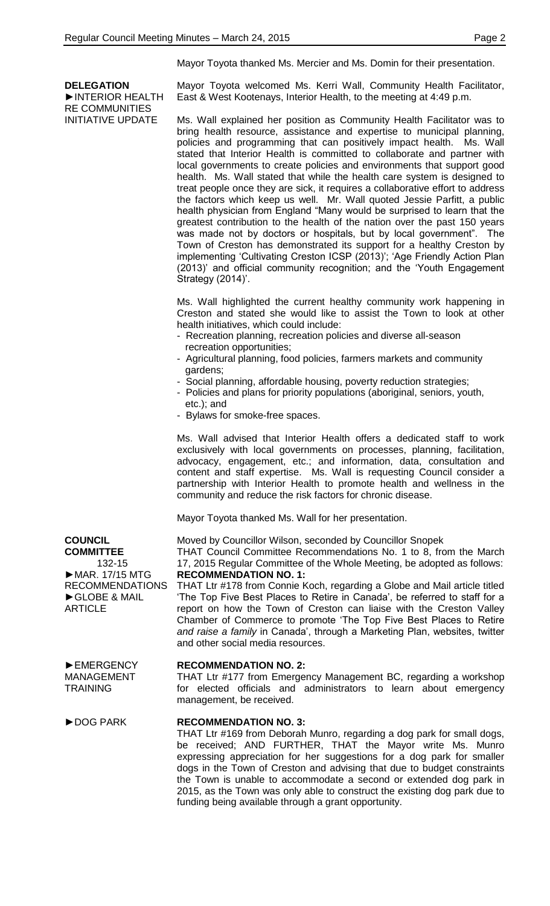**DELEGATION**

►INTERIOR HEALTH RE COMMUNITIES INITIATIVE UPDATE

Mayor Toyota thanked Ms. Mercier and Ms. Domin for their presentation.

Mayor Toyota welcomed Ms. Kerri Wall, Community Health Facilitator, East & West Kootenays, Interior Health, to the meeting at 4:49 p.m.

Ms. Wall explained her position as Community Health Facilitator was to bring health resource, assistance and expertise to municipal planning, policies and programming that can positively impact health. Ms. Wall stated that Interior Health is committed to collaborate and partner with local governments to create policies and environments that support good health. Ms. Wall stated that while the health care system is designed to treat people once they are sick, it requires a collaborative effort to address the factors which keep us well. Mr. Wall quoted Jessie Parfitt, a public health physician from England "Many would be surprised to learn that the greatest contribution to the health of the nation over the past 150 years was made not by doctors or hospitals, but by local government". The Town of Creston has demonstrated its support for a healthy Creston by implementing 'Cultivating Creston ICSP (2013)'; 'Age Friendly Action Plan (2013)' and official community recognition; and the 'Youth Engagement Strategy (2014)'.

Ms. Wall highlighted the current healthy community work happening in Creston and stated she would like to assist the Town to look at other health initiatives, which could include:

- Recreation planning, recreation policies and diverse all-season recreation opportunities;
- Agricultural planning, food policies, farmers markets and community gardens;
- Social planning, affordable housing, poverty reduction strategies;
- Policies and plans for priority populations (aboriginal, seniors, youth, etc.); and
- Bylaws for smoke-free spaces.

Ms. Wall advised that Interior Health offers a dedicated staff to work exclusively with local governments on processes, planning, facilitation, advocacy, engagement, etc.; and information, data, consultation and content and staff expertise. Ms. Wall is requesting Council consider a partnership with Interior Health to promote health and wellness in the community and reduce the risk factors for chronic disease.

Mayor Toyota thanked Ms. Wall for her presentation.

Moved by Councillor Wilson, seconded by Councillor Snopek THAT Council Committee Recommendations No. 1 to 8, from the March

17, 2015 Regular Committee of the Whole Meeting, be adopted as follows: **RECOMMENDATION NO. 1:**

THAT Ltr #178 from Connie Koch, regarding a Globe and Mail article titled 'The Top Five Best Places to Retire in Canada', be referred to staff for a report on how the Town of Creston can liaise with the Creston Valley Chamber of Commerce to promote 'The Top Five Best Places to Retire *and raise a family* in Canada', through a Marketing Plan, websites, twitter and other social media resources.

## **RECOMMENDATION NO. 2:**

THAT Ltr #177 from Emergency Management BC, regarding a workshop for elected officials and administrators to learn about emergency management, be received.

## ►DOG PARK **RECOMMENDATION NO. 3:**

THAT Ltr #169 from Deborah Munro, regarding a dog park for small dogs, be received; AND FURTHER, THAT the Mayor write Ms. Munro expressing appreciation for her suggestions for a dog park for smaller dogs in the Town of Creston and advising that due to budget constraints the Town is unable to accommodate a second or extended dog park in 2015, as the Town was only able to construct the existing dog park due to funding being available through a grant opportunity.

**COUNCIL COMMITTEE** 132-15 ►MAR. 17/15 MTG RECOMMENDATIONS ►GLOBE & MAIL **ARTICLE** 

►EMERGENCY MANAGEMENT **TRAINING**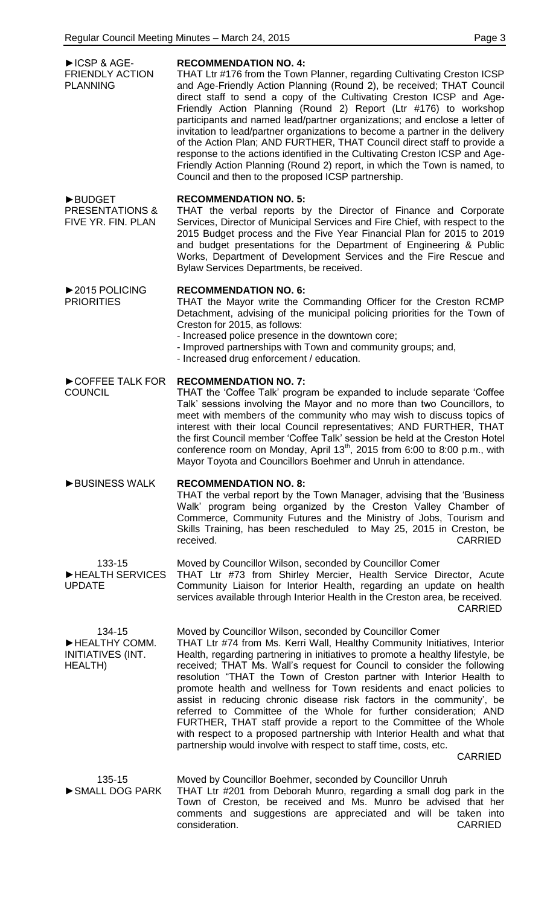| ▶ICSP & AGE-<br><b>FRIENDLY ACTION</b><br><b>PLANNING</b>         | <b>RECOMMENDATION NO. 4:</b><br>THAT Ltr #176 from the Town Planner, regarding Cultivating Creston ICSP<br>and Age-Friendly Action Planning (Round 2), be received; THAT Council<br>direct staff to send a copy of the Cultivating Creston ICSP and Age-<br>Friendly Action Planning (Round 2) Report (Ltr #176) to workshop<br>participants and named lead/partner organizations; and enclose a letter of<br>invitation to lead/partner organizations to become a partner in the delivery<br>of the Action Plan; AND FURTHER, THAT Council direct staff to provide a<br>response to the actions identified in the Cultivating Creston ICSP and Age-<br>Friendly Action Planning (Round 2) report, in which the Town is named, to<br>Council and then to the proposed ICSP partnership.                                                    |
|-------------------------------------------------------------------|--------------------------------------------------------------------------------------------------------------------------------------------------------------------------------------------------------------------------------------------------------------------------------------------------------------------------------------------------------------------------------------------------------------------------------------------------------------------------------------------------------------------------------------------------------------------------------------------------------------------------------------------------------------------------------------------------------------------------------------------------------------------------------------------------------------------------------------------|
| <b>BUDGET</b><br><b>PRESENTATIONS &amp;</b><br>FIVE YR. FIN. PLAN | <b>RECOMMENDATION NO. 5:</b><br>THAT the verbal reports by the Director of Finance and Corporate<br>Services, Director of Municipal Services and Fire Chief, with respect to the<br>2015 Budget process and the Five Year Financial Plan for 2015 to 2019<br>and budget presentations for the Department of Engineering & Public<br>Works, Department of Development Services and the Fire Rescue and<br>Bylaw Services Departments, be received.                                                                                                                                                                                                                                                                                                                                                                                          |
| ▶ 2015 POLICING<br><b>PRIORITIES</b>                              | <b>RECOMMENDATION NO. 6:</b><br>THAT the Mayor write the Commanding Officer for the Creston RCMP<br>Detachment, advising of the municipal policing priorities for the Town of<br>Creston for 2015, as follows:<br>- Increased police presence in the downtown core;<br>- Improved partnerships with Town and community groups; and,<br>- Increased drug enforcement / education.                                                                                                                                                                                                                                                                                                                                                                                                                                                           |
| COFFEE TALK FOR<br><b>COUNCIL</b>                                 | <b>RECOMMENDATION NO. 7:</b><br>THAT the 'Coffee Talk' program be expanded to include separate 'Coffee<br>Talk' sessions involving the Mayor and no more than two Councillors, to<br>meet with members of the community who may wish to discuss topics of<br>interest with their local Council representatives; AND FURTHER, THAT<br>the first Council member 'Coffee Talk' session be held at the Creston Hotel<br>conference room on Monday, April 13 <sup>th</sup> , 2015 from 6:00 to 8:00 p.m., with<br>Mayor Toyota and Councillors Boehmer and Unruh in attendance.                                                                                                                                                                                                                                                                 |
| BUSINESS WALK                                                     | <b>RECOMMENDATION NO. 8:</b><br>THAT the verbal report by the Town Manager, advising that the 'Business'<br>Walk' program being organized by the Creston Valley Chamber of<br>Commerce, Community Futures and the Ministry of Jobs, Tourism and<br>Skills Training, has been rescheduled to May 25, 2015 in Creston, be<br>received.<br><b>CARRIED</b>                                                                                                                                                                                                                                                                                                                                                                                                                                                                                     |
| 133-15<br>HEALTH SERVICES<br><b>UPDATE</b>                        | Moved by Councillor Wilson, seconded by Councillor Comer<br>THAT Ltr #73 from Shirley Mercier, Health Service Director, Acute<br>Community Liaison for Interior Health, regarding an update on health<br>services available through Interior Health in the Creston area, be received.<br><b>CARRIED</b>                                                                                                                                                                                                                                                                                                                                                                                                                                                                                                                                    |
| 134-15<br>HEALTHY COMM.<br>INITIATIVES (INT.<br><b>HEALTH)</b>    | Moved by Councillor Wilson, seconded by Councillor Comer<br>THAT Ltr #74 from Ms. Kerri Wall, Healthy Community Initiatives, Interior<br>Health, regarding partnering in initiatives to promote a healthy lifestyle, be<br>received; THAT Ms. Wall's request for Council to consider the following<br>resolution "THAT the Town of Creston partner with Interior Health to<br>promote health and wellness for Town residents and enact policies to<br>assist in reducing chronic disease risk factors in the community', be<br>referred to Committee of the Whole for further consideration; AND<br>FURTHER, THAT staff provide a report to the Committee of the Whole<br>with respect to a proposed partnership with Interior Health and what that<br>partnership would involve with respect to staff time, costs, etc.<br><b>CARRIED</b> |
| 135-15<br>SMALL DOG PARK                                          | Moved by Councillor Boehmer, seconded by Councillor Unruh<br>THAT Ltr #201 from Deborah Munro, regarding a small dog park in the<br>Town of Creston, be received and Ms. Munro be advised that her<br>comments and suggestions are appreciated and will be taken into<br>consideration.<br><b>CARRIED</b>                                                                                                                                                                                                                                                                                                                                                                                                                                                                                                                                  |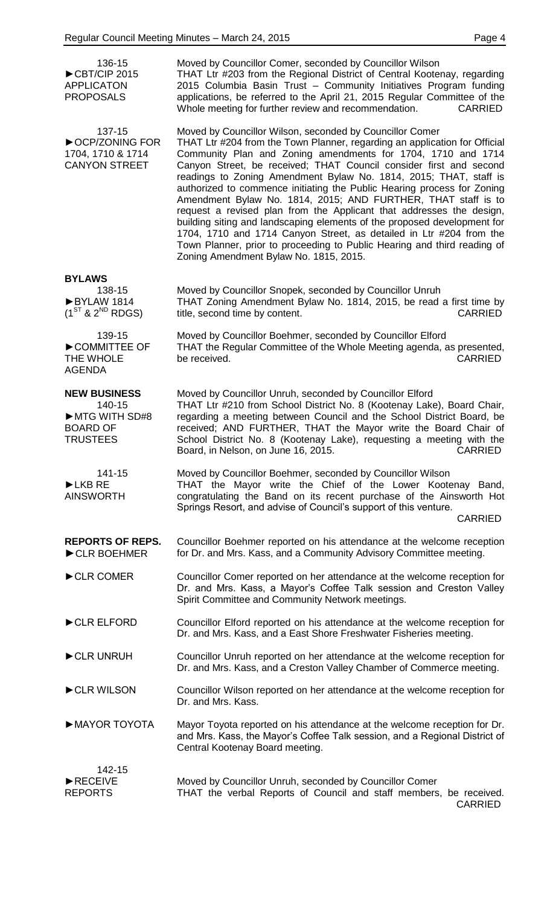| 136-15<br>CBT/CIP 2015<br><b>APPLICATON</b><br><b>PROPOSALS</b>                      | Moved by Councillor Comer, seconded by Councillor Wilson<br>THAT Ltr #203 from the Regional District of Central Kootenay, regarding<br>2015 Columbia Basin Trust - Community Initiatives Program funding<br>applications, be referred to the April 21, 2015 Regular Committee of the<br>Whole meeting for further review and recommendation.<br><b>CARRIED</b>                                                                                                                                                                                                                                                                                                                                                                                                                                                                                 |
|--------------------------------------------------------------------------------------|------------------------------------------------------------------------------------------------------------------------------------------------------------------------------------------------------------------------------------------------------------------------------------------------------------------------------------------------------------------------------------------------------------------------------------------------------------------------------------------------------------------------------------------------------------------------------------------------------------------------------------------------------------------------------------------------------------------------------------------------------------------------------------------------------------------------------------------------|
| 137-15<br>CCP/ZONING FOR<br>1704, 1710 & 1714<br><b>CANYON STREET</b>                | Moved by Councillor Wilson, seconded by Councillor Comer<br>THAT Ltr #204 from the Town Planner, regarding an application for Official<br>Community Plan and Zoning amendments for 1704, 1710 and 1714<br>Canyon Street, be received; THAT Council consider first and second<br>readings to Zoning Amendment Bylaw No. 1814, 2015; THAT, staff is<br>authorized to commence initiating the Public Hearing process for Zoning<br>Amendment Bylaw No. 1814, 2015; AND FURTHER, THAT staff is to<br>request a revised plan from the Applicant that addresses the design,<br>building siting and landscaping elements of the proposed development for<br>1704, 1710 and 1714 Canyon Street, as detailed in Ltr #204 from the<br>Town Planner, prior to proceeding to Public Hearing and third reading of<br>Zoning Amendment Bylaw No. 1815, 2015. |
| <b>BYLAWS</b><br>138-15<br>BYLAW 1814<br>$(1^{ST}$ & $2^{ND}$ RDGS)                  | Moved by Councillor Snopek, seconded by Councillor Unruh<br>THAT Zoning Amendment Bylaw No. 1814, 2015, be read a first time by<br>title, second time by content.<br><b>CARRIED</b>                                                                                                                                                                                                                                                                                                                                                                                                                                                                                                                                                                                                                                                            |
| 139-15<br>COMMITTEE OF<br>THE WHOLE<br><b>AGENDA</b>                                 | Moved by Councillor Boehmer, seconded by Councillor Elford<br>THAT the Regular Committee of the Whole Meeting agenda, as presented,<br>be received.<br><b>CARRIED</b>                                                                                                                                                                                                                                                                                                                                                                                                                                                                                                                                                                                                                                                                          |
| <b>NEW BUSINESS</b><br>140-15<br>MTG WITH SD#8<br><b>BOARD OF</b><br><b>TRUSTEES</b> | Moved by Councillor Unruh, seconded by Councillor Elford<br>THAT Ltr #210 from School District No. 8 (Kootenay Lake), Board Chair,<br>regarding a meeting between Council and the School District Board, be<br>received; AND FURTHER, THAT the Mayor write the Board Chair of<br>School District No. 8 (Kootenay Lake), requesting a meeting with the<br>Board, in Nelson, on June 16, 2015.<br><b>CARRIED</b>                                                                                                                                                                                                                                                                                                                                                                                                                                 |
| 141-15<br>LKB RE<br><b>AINSWORTH</b>                                                 | Moved by Councillor Boehmer, seconded by Councillor Wilson<br>THAT the Mayor write the Chief of the Lower Kootenay Band,<br>congratulating the Band on its recent purchase of the Ainsworth Hot<br>Springs Resort, and advise of Council's support of this venture.<br><b>CARRIED</b>                                                                                                                                                                                                                                                                                                                                                                                                                                                                                                                                                          |
| <b>REPORTS OF REPS.</b><br>CLR BOEHMER                                               | Councillor Boehmer reported on his attendance at the welcome reception<br>for Dr. and Mrs. Kass, and a Community Advisory Committee meeting.                                                                                                                                                                                                                                                                                                                                                                                                                                                                                                                                                                                                                                                                                                   |
| CLR COMER                                                                            | Councillor Comer reported on her attendance at the welcome reception for<br>Dr. and Mrs. Kass, a Mayor's Coffee Talk session and Creston Valley<br>Spirit Committee and Community Network meetings.                                                                                                                                                                                                                                                                                                                                                                                                                                                                                                                                                                                                                                            |
| CLR ELFORD                                                                           | Councillor Elford reported on his attendance at the welcome reception for<br>Dr. and Mrs. Kass, and a East Shore Freshwater Fisheries meeting.                                                                                                                                                                                                                                                                                                                                                                                                                                                                                                                                                                                                                                                                                                 |
| CLR UNRUH                                                                            | Councillor Unruh reported on her attendance at the welcome reception for<br>Dr. and Mrs. Kass, and a Creston Valley Chamber of Commerce meeting.                                                                                                                                                                                                                                                                                                                                                                                                                                                                                                                                                                                                                                                                                               |
| CLR WILSON                                                                           | Councillor Wilson reported on her attendance at the welcome reception for<br>Dr. and Mrs. Kass.                                                                                                                                                                                                                                                                                                                                                                                                                                                                                                                                                                                                                                                                                                                                                |
| MAYOR TOYOTA                                                                         | Mayor Toyota reported on his attendance at the welcome reception for Dr.<br>and Mrs. Kass, the Mayor's Coffee Talk session, and a Regional District of<br>Central Kootenay Board meeting.                                                                                                                                                                                                                                                                                                                                                                                                                                                                                                                                                                                                                                                      |
| 142-15<br>RECEIVE<br><b>REPORTS</b>                                                  | Moved by Councillor Unruh, seconded by Councillor Comer<br>THAT the verbal Reports of Council and staff members, be received.<br><b>CARRIED</b>                                                                                                                                                                                                                                                                                                                                                                                                                                                                                                                                                                                                                                                                                                |